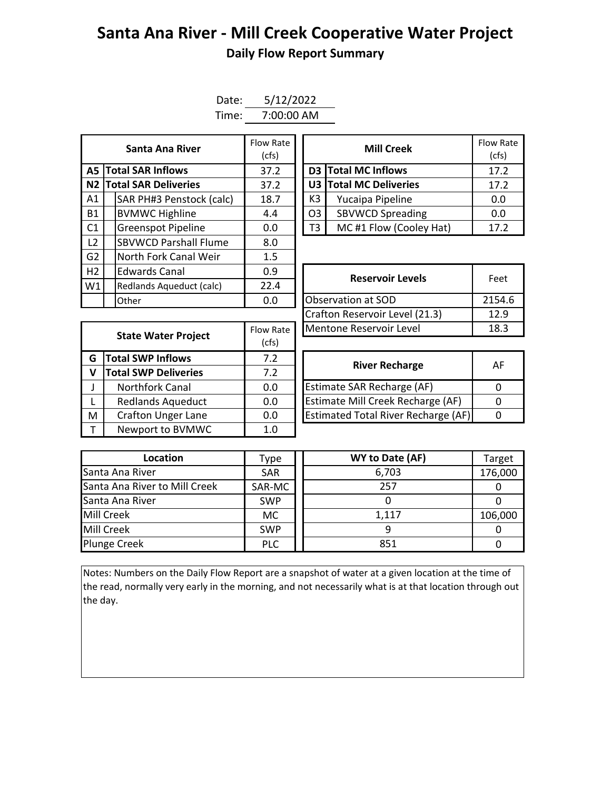## **Santa Ana River - Mill Creek Cooperative Water Project Daily Flow Report Summary**

| Date: | 5/12/2022  |
|-------|------------|
| Time: | 7:00:00 AM |

| Santa Ana River                  |  | Flow Rate<br>(cfs)           |      | <b>Mill Creek</b>       |                                          | Flow Ra<br>(cfs)        |      |
|----------------------------------|--|------------------------------|------|-------------------------|------------------------------------------|-------------------------|------|
| <b>Total SAR Inflows</b><br>A5 I |  |                              | 37.2 |                         |                                          | D3 Total MC Inflows     | 17.2 |
| <b>N2 Total SAR Deliveries</b>   |  | 37.2                         |      |                         | <b>U3 Total MC Deliveries</b>            | 17.2                    |      |
| A1                               |  | SAR PH#3 Penstock (calc)     | 18.7 |                         | K3                                       | Yucaipa Pipeline        | 0.0  |
| <b>B1</b>                        |  | <b>BVMWC Highline</b>        | 4.4  |                         | O <sub>3</sub>                           | <b>SBVWCD Spreading</b> | 0.0  |
| C1                               |  | <b>Greenspot Pipeline</b>    | 0.0  |                         | MC#1 Flow (Cooley Hat)<br>T <sub>3</sub> |                         | 17.2 |
| L <sub>2</sub>                   |  | <b>SBVWCD Parshall Flume</b> | 8.0  |                         |                                          |                         |      |
| G <sub>2</sub>                   |  | North Fork Canal Weir        | 1.5  |                         |                                          |                         |      |
| H <sub>2</sub>                   |  | <b>Edwards Canal</b>         | 0.9  |                         |                                          | Feet                    |      |
| W1                               |  | Redlands Aqueduct (calc)     | 22.4 | <b>Reservoir Levels</b> |                                          |                         |      |
|                                  |  | Other                        | 0.0  | Observation at SOD      |                                          | 2154.                   |      |

| Santa Ana River         | Flow Rate<br>(cfs) |                                           | <b>Flow Rate</b><br><b>Mill Creek</b> |      |  |
|-------------------------|--------------------|-------------------------------------------|---------------------------------------|------|--|
| <b>I SAR Inflows</b>    | 37.2               |                                           | D3 Total MC Inflows                   |      |  |
| <b>I SAR Deliveries</b> | 37.2               | U3 Total MC Deliveries                    |                                       | 17.2 |  |
| AR PH#3 Penstock (calc) | 18.7               | K3<br>Yucaipa Pipeline                    |                                       | 0.0  |  |
| /MWC Highline           | 4.4                | <b>SBVWCD Spreading</b><br>O <sub>3</sub> |                                       | 0.0  |  |
| reenspot Pipeline       | 0.0                | MC#1 Flow (Cooley Hat)<br>T3              |                                       | 17.2 |  |

| <b>Edwards Canal</b><br>0.9             |      | <b>Reservoir Levels</b>        | Feet   |  |
|-----------------------------------------|------|--------------------------------|--------|--|
| Redlands Aqueduct (calc)                | 22.4 |                                |        |  |
| 0.0<br>Other                            |      | Observation at SOD             | 2154.6 |  |
|                                         |      | Crafton Reservoir Level (21.3) | 12.9   |  |
| Flow Rate<br><b>State Water Project</b> |      | Mentone Reservoir Level        | 18.3   |  |
|                                         |      |                                |        |  |

| <b>State Water Project</b> |                             | Flow Rate | Mentone Reservoir Level                    |              |  |  |  |
|----------------------------|-----------------------------|-----------|--------------------------------------------|--------------|--|--|--|
|                            |                             | (cfs)     |                                            |              |  |  |  |
| G                          | <b>Total SWP Inflows</b>    | 7.2       | <b>River Recharge</b>                      | $\mathsf{A}$ |  |  |  |
| v                          | <b>Total SWP Deliveries</b> | 7.2       |                                            |              |  |  |  |
|                            | <b>Northfork Canal</b>      | 0.0       | <b>Estimate SAR Recharge (AF)</b>          | $\Omega$     |  |  |  |
|                            | <b>Redlands Aqueduct</b>    | 0.0       | Estimate Mill Creek Recharge (AF)          | $\Omega$     |  |  |  |
| M                          | <b>Crafton Unger Lane</b>   | 0.0       | <b>Estimated Total River Recharge (AF)</b> | 0            |  |  |  |
|                            | Newport to BVMWC            | 1.0       |                                            |              |  |  |  |

| <b>River Recharge</b>                      | AF |
|--------------------------------------------|----|
| Estimate SAR Recharge (AF)                 |    |
| Estimate Mill Creek Recharge (AF)          |    |
| <b>Estimated Total River Recharge (AF)</b> |    |

| Location                      | <b>Type</b> | WY to Date (AF) | Target  |
|-------------------------------|-------------|-----------------|---------|
| Santa Ana River               | <b>SAR</b>  | 6,703           | 176,000 |
| Santa Ana River to Mill Creek | SAR-MC      | 257             |         |
| Santa Ana River               | <b>SWP</b>  |                 |         |
| Mill Creek                    | МC          | 1.117           | 106,000 |
| Mill Creek                    | <b>SWP</b>  |                 |         |
| <b>Plunge Creek</b>           | <b>PLC</b>  | 851             |         |

Notes: Numbers on the Daily Flow Report are a snapshot of water at a given location at the time of the read, normally very early in the morning, and not necessarily what is at that location through out the day.